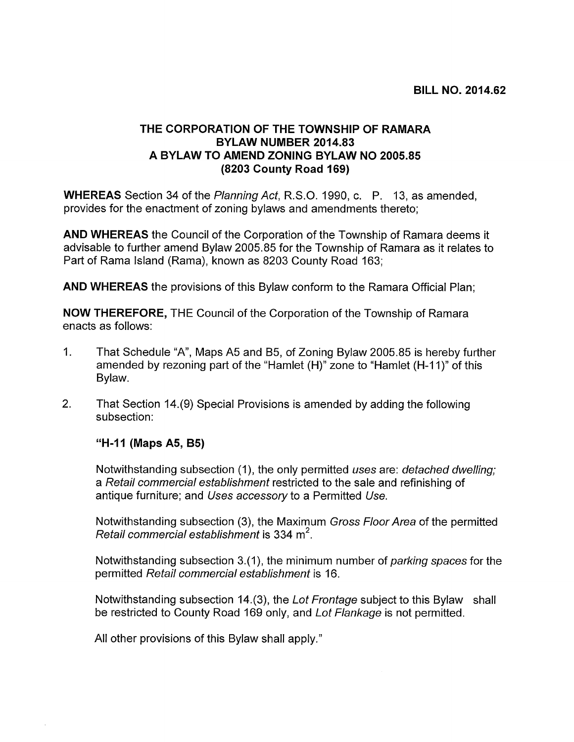## THE CORPORATION OF THE TOWNSHIP OF RAMARA BYLAW NUMBER 2014.83 A BYLAW TO AMEND ZONING BYLAW NO 2005.85 (8203 County Road 169)

WHEREAS Section 34 of the Planning Act, R.S.O. 1990, c. P. 13, as amended, provides for the enactment of zoning bylaws and amendments thereto;

AND WHEREAS the Council of the Corporation of the Township of Ramara deems it advisable to further amend Bylaw 2005.85 for the Township of Ramara as it relates to Part of Rama Island (Rama), known as 8203 County Road 163;

AND WHEREAS the provisions of this Bylaw conform to the Ramara Official Plan;

NOW THEREFORE, THE Council of the Corporation of the Township of Ramara enacts as follows:

- 1. That Schedule "A", Maps A5 and B5, of Zoning Bylaw 2005.85 is hereby further amended by rezoning part of the "Hamlet (H)" zone to "Hamlet (H-11)" of this Bylaw.
- 2. That Section 14.(9) Special Provisions is amended by adding the following subsection:

## "H-11 (Maps A5, B5)

Notwithstanding subsection (1), the only permitted uses are: detached dwelling; a Retail commercial establishment restricted to the sale and refinishing of antique furniture; and Uses accessory to a Permitted Use.

Notwithstanding subsection (3), the Maximum *Gross Floor Area* of the permitted antique furniture; and *Uses accessory* to a<br>Notwithstanding subsection (3), the Maxim<br>*Retail commercial establishment* is 334 m<sup>2</sup>.

Notwithstanding subsection 3.(1), the minimum number of *parking spaces* for the permitted Retail commercial establishment is 16.

Notwithstanding subsection 14.(3), the Lot Frontage subject to this Bylaw shall be restricted to County Road 169 only, and Lot Flankage is not permitted.

All other provisions of this Bylaw shall apply."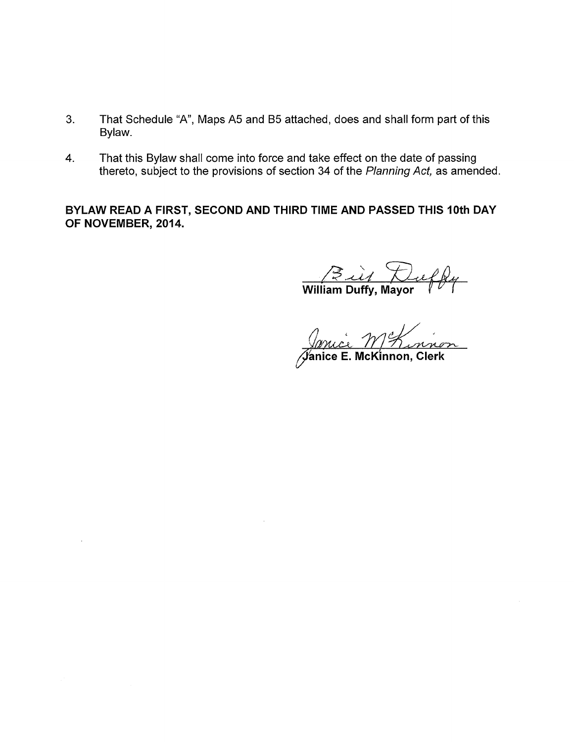- 3. That Schedule "A", Maps A5 and B5 attached, does and shall form part of this Bylaw.
- 4. That this Bylaw shall come into force and take effect on the date of passing thereto, subject to the provisions of section 34 of the Planning Act, as amended.

BYLAW READ A FIRST, SECOND AND THIRD TIME AND PASSED THIS 10th DAY OF NOVEMBER, 2014.

Build Duelby

<u>Innice MEL nivon</u><br>Janice E. McKinnon, Clerk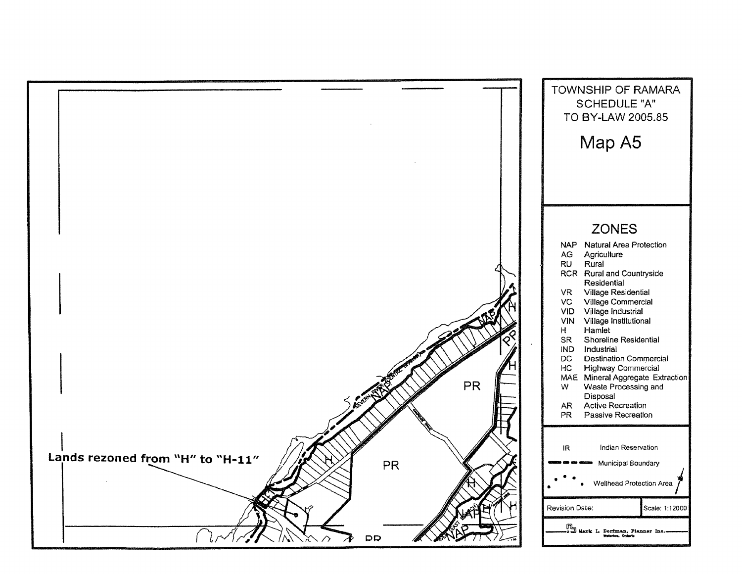